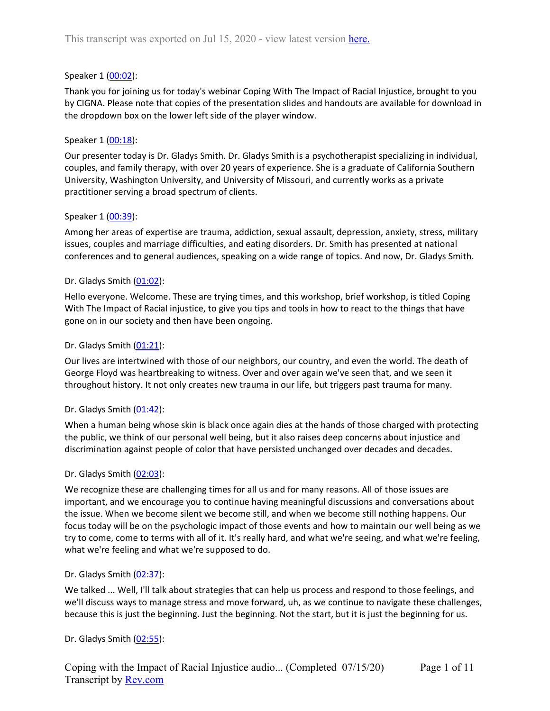### Speaker 1 ([00:02](https://www.rev.com/transcript-editor/Edit?token=ot4qPJk9fmIEAXa7PIvpx79J0iCiVJBQYlZk0hq4TDh6AhLy2CR8_4rITjuL7suFv6abOEQJuxRBXIp_DKRU7ejsAUE&loadFrom=DocumentDeeplink&ts=2.22)):

Thank you for joining us for today's webinar Coping With The Impact of Racial Injustice, brought to you by CIGNA. Please note that copies of the presentation slides and handouts are available for download in the dropdown box on the lower left side of the player window.

## Speaker 1 ([00:18](https://www.rev.com/transcript-editor/Edit?token=g-8XVG1LBj6012MfnckH8b5C3Q7nBp610-ctVi4kjok-wnhbhlwPTJ4cdwu-4qpfzsVQ3kuv85e6zaahXok4YnJ9pgQ&loadFrom=DocumentDeeplink&ts=18.68)):

Our presenter today is Dr. Gladys Smith. Dr. Gladys Smith is a psychotherapist specializing in individual, couples, and family therapy, with over 20 years of experience. She is a graduate of California Southern University, Washington University, and University of Missouri, and currently works as a private practitioner serving a broad spectrum of clients.

### Speaker 1 ([00:39](https://www.rev.com/transcript-editor/Edit?token=eG7-4383DQN7gcgtN99DoBSD6_NC0uMCwl1HCUSRAxoyarJ-pYLnDYUqHZZKDL21sbcoQZ1NEeYG_tZJT-jpgoWDFik&loadFrom=DocumentDeeplink&ts=39.85)):

Among her areas of expertise are trauma, addiction, sexual assault, depression, anxiety, stress, military issues, couples and marriage difficulties, and eating disorders. Dr. Smith has presented at national conferences and to general audiences, speaking on a wide range of topics. And now, Dr. Gladys Smith.

## Dr. Gladys Smith ([01:02](https://www.rev.com/transcript-editor/Edit?token=JCF3PDzVRWgSI5oHwcocro-6usoCTeGg4pNsyuxZ6BvDYoTGFY7gNqzVWDK2v3cFCAuvIQYrbUDILXS-E_rRnkyTIlw&loadFrom=DocumentDeeplink&ts=62.57)):

Hello everyone. Welcome. These are trying times, and this workshop, brief workshop, is titled Coping With The Impact of Racial injustice, to give you tips and tools in how to react to the things that have gone on in our society and then have been ongoing.

### Dr. Gladys Smith  $(01:21)$  $(01:21)$  $(01:21)$ :

Our lives are intertwined with those of our neighbors, our country, and even the world. The death of George Floyd was heartbreaking to witness. Over and over again we've seen that, and we seen it throughout history. It not only creates new trauma in our life, but triggers past trauma for many.

### Dr. Gladys Smith ([01:42](https://www.rev.com/transcript-editor/Edit?token=2LWR3nOv9tKWNEIr2Csh0sAjbGRiJxw0g6q1L-t4L62KgSF1jfs1h3G83llJaFs4Llu2D4hoZsHUaC5hyNZkas05P08&loadFrom=DocumentDeeplink&ts=102.1)):

When a human being whose skin is black once again dies at the hands of those charged with protecting the public, we think of our personal well being, but it also raises deep concerns about injustice and discrimination against people of color that have persisted unchanged over decades and decades.

### Dr. Gladys Smith ([02:03](https://www.rev.com/transcript-editor/Edit?token=h68Zz818l7ZWAd0gNMzdnk4C9iXC3E2tPVDJBvI-WmWMMPwFUEazk3iw8cIA8SV9RCYJwEzzTP0EdbbLZ9G75GUl_MQ&loadFrom=DocumentDeeplink&ts=123.1)):

We recognize these are challenging times for all us and for many reasons. All of those issues are important, and we encourage you to continue having meaningful discussions and conversations about the issue. When we become silent we become still, and when we become still nothing happens. Our focus today will be on the psychologic impact of those events and how to maintain our well being as we try to come, come to terms with all of it. It's really hard, and what we're seeing, and what we're feeling, what we're feeling and what we're supposed to do.

### Dr. Gladys Smith ([02:37](https://www.rev.com/transcript-editor/Edit?token=zKyC5OeozhEVN7rPTrJd8yQCkPaHEgCmNG6PcDRV4zUVI1khFid3sLLNOIuvZGADkAVYWKppYZndVJTL58e96u1Hmt8&loadFrom=DocumentDeeplink&ts=157.57)):

We talked ... Well, I'll talk about strategies that can help us process and respond to those feelings, and we'll discuss ways to manage stress and move forward, uh, as we continue to navigate these challenges, because this is just the beginning. Just the beginning. Not the start, but it is just the beginning for us.

### Dr. Gladys Smith ([02:55](https://www.rev.com/transcript-editor/Edit?token=9uEWsuLLGs7BcFK4Us-QpbwYgpMlLaXnrFFbUPDKb-UQp0YxNGYaAiDz3_2amjCcB6abbVqHIP3OKq8Gf-Pz1BASjmU&loadFrom=DocumentDeeplink&ts=175.63)):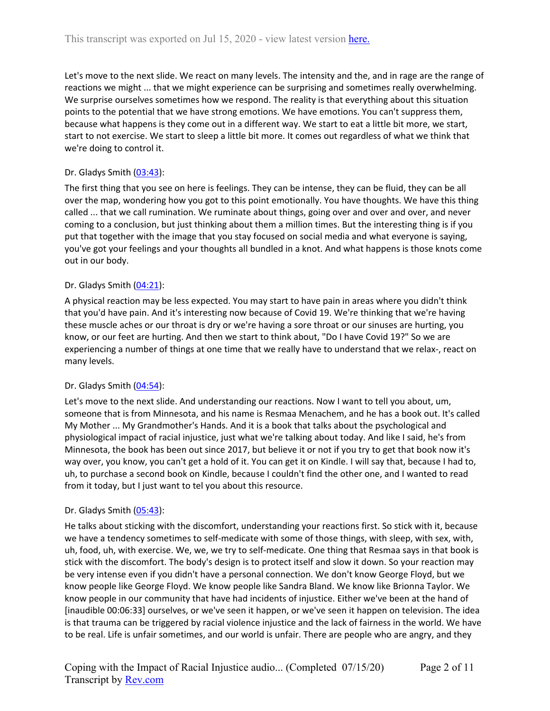Let's move to the next slide. We react on many levels. The intensity and the, and in rage are the range of reactions we might ... that we might experience can be surprising and sometimes really overwhelming. We surprise ourselves sometimes how we respond. The reality is that everything about this situation points to the potential that we have strong emotions. We have emotions. You can't suppress them, because what happens is they come out in a different way. We start to eat a little bit more, we start, start to not exercise. We start to sleep a little bit more. It comes out regardless of what we think that we're doing to control it.

# Dr. Gladys Smith ([03:43](https://www.rev.com/transcript-editor/Edit?token=8ymY1Zk-jojfO9tNAiwkydEwTZqeFW5MgGAqgZOHJle3ii6jPTuEYhA5YbpydFJOOOqdmXsyOlHc3lKpZm8Hbq2bNtQ&loadFrom=DocumentDeeplink&ts=223.61)):

The first thing that you see on here is feelings. They can be intense, they can be fluid, they can be all over the map, wondering how you got to this point emotionally. You have thoughts. We have this thing called ... that we call rumination. We ruminate about things, going over and over and over, and never coming to a conclusion, but just thinking about them a million times. But the interesting thing is if you put that together with the image that you stay focused on social media and what everyone is saying, you've got your feelings and your thoughts all bundled in a knot. And what happens is those knots come out in our body.

# Dr. Gladys Smith ([04:21](https://www.rev.com/transcript-editor/Edit?token=VWCmUpBnQEVZkX0P4lLo-hBzdFQIoGn6jY14ExxbOP5e1jDB_zw-Rjr1F0u6vJ_Y8QCoAjNavdw_qkUAqMqvEy7DT1Q&loadFrom=DocumentDeeplink&ts=261.2)):

A physical reaction may be less expected. You may start to have pain in areas where you didn't think that you'd have pain. And it's interesting now because of Covid 19. We're thinking that we're having these muscle aches or our throat is dry or we're having a sore throat or our sinuses are hurting, you know, or our feet are hurting. And then we start to think about, "Do I have Covid 19?" So we are experiencing a number of things at one time that we really have to understand that we relax-, react on many levels.

# Dr. Gladys Smith ([04:54](https://www.rev.com/transcript-editor/Edit?token=TyW7Z7nnncrkbwJNV5QuEZE4-tB5Da8ixL4F1_Zlxi_B1L-7RpT4cqrKjrX_havrzlYqVQEimQjnPMwZRBa_cY5a9IE&loadFrom=DocumentDeeplink&ts=294.07)):

Let's move to the next slide. And understanding our reactions. Now I want to tell you about, um, someone that is from Minnesota, and his name is Resmaa Menachem, and he has a book out. It's called My Mother ... My Grandmother's Hands. And it is a book that talks about the psychological and physiological impact of racial injustice, just what we're talking about today. And like I said, he's from Minnesota, the book has been out since 2017, but believe it or not if you try to get that book now it's way over, you know, you can't get a hold of it. You can get it on Kindle. I will say that, because I had to, uh, to purchase a second book on Kindle, because I couldn't find the other one, and I wanted to read from it today, but I just want to tel you about this resource.

# Dr. Gladys Smith ([05:43](https://www.rev.com/transcript-editor/Edit?token=9gNjL-aqnTU46SpeU6BNR4Xzu51J6YrJ2iizLoOsvIMRF61Nez0I2btzejuh1QZBeY8XFCWYqf9WP_hXCbbyy17wrYs&loadFrom=DocumentDeeplink&ts=343.41)):

He talks about sticking with the discomfort, understanding your reactions first. So stick with it, because we have a tendency sometimes to self-medicate with some of those things, with sleep, with sex, with, uh, food, uh, with exercise. We, we, we try to self-medicate. One thing that Resmaa says in that book is stick with the discomfort. The body's design is to protect itself and slow it down. So your reaction may be very intense even if you didn't have a personal connection. We don't know George Floyd, but we know people like George Floyd. We know people like Sandra Bland. We know like Brionna Taylor. We know people in our community that have had incidents of injustice. Either we've been at the hand of [inaudible 00:06:33] ourselves, or we've seen it happen, or we've seen it happen on television. The idea is that trauma can be triggered by racial violence injustice and the lack of fairness in the world. We have to be real. Life is unfair sometimes, and our world is unfair. There are people who are angry, and they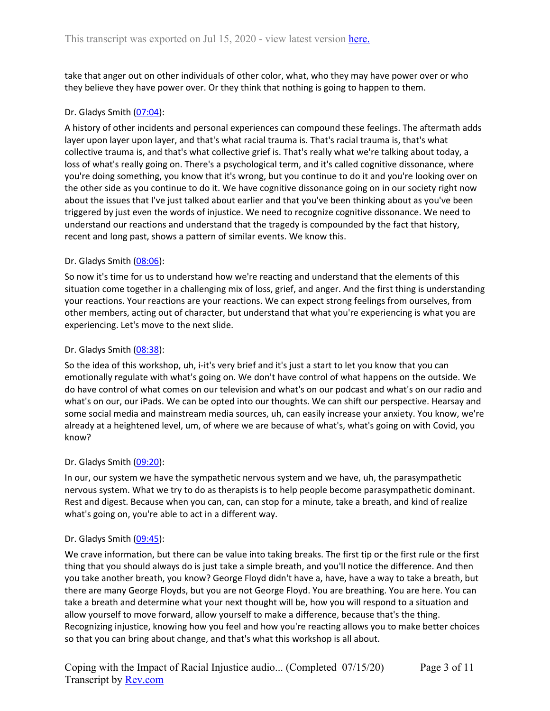take that anger out on other individuals of other color, what, who they may have power over or who they believe they have power over. Or they think that nothing is going to happen to them.

# Dr. Gladys Smith ([07:04](https://www.rev.com/transcript-editor/Edit?token=RPv_1cZ55EWp3ymXRpk5F96MX6rv9HY82rCuHTgiKrPF1l9Xeh3xKZXRsA0O_cubxx6PyyEZMhlBtRvO2BwYlgHSOpw&loadFrom=DocumentDeeplink&ts=424.52)):

A history of other incidents and personal experiences can compound these feelings. The aftermath adds layer upon layer upon layer, and that's what racial trauma is. That's racial trauma is, that's what collective trauma is, and that's what collective grief is. That's really what we're talking about today, a loss of what's really going on. There's a psychological term, and it's called cognitive dissonance, where you're doing something, you know that it's wrong, but you continue to do it and you're looking over on the other side as you continue to do it. We have cognitive dissonance going on in our society right now about the issues that I've just talked about earlier and that you've been thinking about as you've been triggered by just even the words of injustice. We need to recognize cognitive dissonance. We need to understand our reactions and understand that the tragedy is compounded by the fact that history, recent and long past, shows a pattern of similar events. We know this.

## Dr. Gladys Smith ([08:06](https://www.rev.com/transcript-editor/Edit?token=iy7jLIJExwaWp1tccZq8TwEGDIjWrsdXVnuUbXnnuOvNqECMVLwrlBEO1cIVJ7588Q8tp-mQL3gsWZZmAE9JIBdAB-Q&loadFrom=DocumentDeeplink&ts=486.88)):

So now it's time for us to understand how we're reacting and understand that the elements of this situation come together in a challenging mix of loss, grief, and anger. And the first thing is understanding your reactions. Your reactions are your reactions. We can expect strong feelings from ourselves, from other members, acting out of character, but understand that what you're experiencing is what you are experiencing. Let's move to the next slide.

## Dr. Gladys Smith ([08:38](https://www.rev.com/transcript-editor/Edit?token=gJPMgypoa5NnD9tv2ZEBaAp7Q4Z5S1FALQcUjdymn57OvdxUKg9P5Pfn5-UgqrXi70YLwh7IcmVazk8zRkU7qFYhaWo&loadFrom=DocumentDeeplink&ts=518.19)):

So the idea of this workshop, uh, i-it's very brief and it's just a start to let you know that you can emotionally regulate with what's going on. We don't have control of what happens on the outside. We do have control of what comes on our television and what's on our podcast and what's on our radio and what's on our, our iPads. We can be opted into our thoughts. We can shift our perspective. Hearsay and some social media and mainstream media sources, uh, can easily increase your anxiety. You know, we're already at a heightened level, um, of where we are because of what's, what's going on with Covid, you know?

### Dr. Gladys Smith ([09:20](https://www.rev.com/transcript-editor/Edit?token=uB1ad4zhJOSTxaQ20L5vSRYOtRbwg--OFFkcACtneK6zZdVSXjxbi7TAc9KyS2kqTuh38tV4af1rP7V7YNrUL9jXc_4&loadFrom=DocumentDeeplink&ts=560.04)):

In our, our system we have the sympathetic nervous system and we have, uh, the parasympathetic nervous system. What we try to do as therapists is to help people become parasympathetic dominant. Rest and digest. Because when you can, can, can stop for a minute, take a breath, and kind of realize what's going on, you're able to act in a different way.

### Dr. Gladys Smith ([09:45](https://www.rev.com/transcript-editor/Edit?token=4p7syMtoCaIFIfBPDbd-VI9_hJQX67eGMoU3V7Bk0l-fWI8RjvfREoKgWypZdzAJcnLLxiJOJU0aqKFsOHv2Zk4rSug&loadFrom=DocumentDeeplink&ts=585.55)):

We crave information, but there can be value into taking breaks. The first tip or the first rule or the first thing that you should always do is just take a simple breath, and you'll notice the difference. And then you take another breath, you know? George Floyd didn't have a, have, have a way to take a breath, but there are many George Floyds, but you are not George Floyd. You are breathing. You are here. You can take a breath and determine what your next thought will be, how you will respond to a situation and allow yourself to move forward, allow yourself to make a difference, because that's the thing. Recognizing injustice, knowing how you feel and how you're reacting allows you to make better choices so that you can bring about change, and that's what this workshop is all about.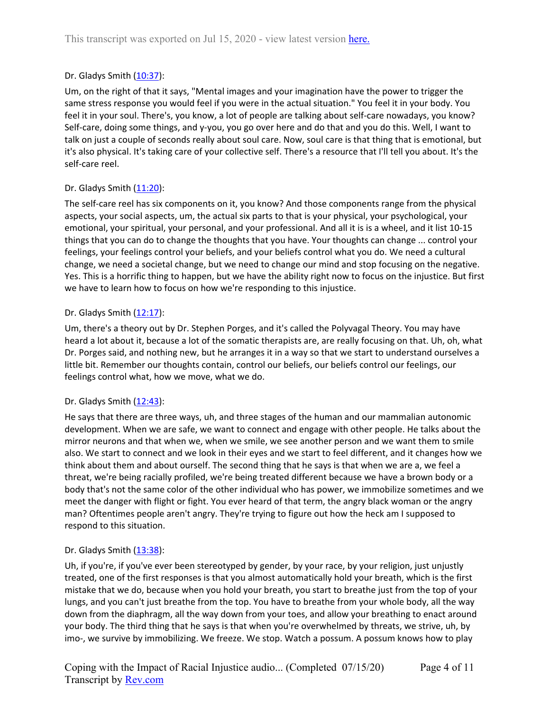# Dr. Gladys Smith ([10:37](https://www.rev.com/transcript-editor/Edit?token=Ss5qEfzviNTEnDGOzYeh9XH2uynere1_gTQxDPM8oYaSvU6LOTzOGQ8gyZOyw7lLlKOP513Xkb7HyN1tSCEPnvV4xOA&loadFrom=DocumentDeeplink&ts=637.32)):

Um, on the right of that it says, "Mental images and your imagination have the power to trigger the same stress response you would feel if you were in the actual situation." You feel it in your body. You feel it in your soul. There's, you know, a lot of people are talking about self-care nowadays, you know? Self-care, doing some things, and y-you, you go over here and do that and you do this. Well, I want to talk on just a couple of seconds really about soul care. Now, soul care is that thing that is emotional, but it's also physical. It's taking care of your collective self. There's a resource that I'll tell you about. It's the self-care reel.

# Dr. Gladys Smith ([11:20](https://www.rev.com/transcript-editor/Edit?token=xAfp8A3GwFQprc7hX9FQTJILOU_STJN92248XyzlXK2XIHte3uAi9GeXNt8AXvBEwBIDq-qMHQuxVP3Q5oT82eW46f4&loadFrom=DocumentDeeplink&ts=680.75)):

The self-care reel has six components on it, you know? And those components range from the physical aspects, your social aspects, um, the actual six parts to that is your physical, your psychological, your emotional, your spiritual, your personal, and your professional. And all it is is a wheel, and it list 10-15 things that you can do to change the thoughts that you have. Your thoughts can change ... control your feelings, your feelings control your beliefs, and your beliefs control what you do. We need a cultural change, we need a societal change, but we need to change our mind and stop focusing on the negative. Yes. This is a horrific thing to happen, but we have the ability right now to focus on the injustice. But first we have to learn how to focus on how we're responding to this injustice.

# Dr. Gladys Smith  $(12:17)$  $(12:17)$  $(12:17)$ :

Um, there's a theory out by Dr. Stephen Porges, and it's called the Polyvagal Theory. You may have heard a lot about it, because a lot of the somatic therapists are, are really focusing on that. Uh, oh, what Dr. Porges said, and nothing new, but he arranges it in a way so that we start to understand ourselves a little bit. Remember our thoughts contain, control our beliefs, our beliefs control our feelings, our feelings control what, how we move, what we do.

# Dr. Gladys Smith  $(12:43)$  $(12:43)$  $(12:43)$ :

He says that there are three ways, uh, and three stages of the human and our mammalian autonomic development. When we are safe, we want to connect and engage with other people. He talks about the mirror neurons and that when we, when we smile, we see another person and we want them to smile also. We start to connect and we look in their eyes and we start to feel different, and it changes how we think about them and about ourself. The second thing that he says is that when we are a, we feel a threat, we're being racially profiled, we're being treated different because we have a brown body or a body that's not the same color of the other individual who has power, we immobilize sometimes and we meet the danger with flight or fight. You ever heard of that term, the angry black woman or the angry man? Oftentimes people aren't angry. They're trying to figure out how the heck am I supposed to respond to this situation.

# Dr. Gladys Smith  $(13:38)$  $(13:38)$  $(13:38)$ :

Uh, if you're, if you've ever been stereotyped by gender, by your race, by your religion, just unjustly treated, one of the first responses is that you almost automatically hold your breath, which is the first mistake that we do, because when you hold your breath, you start to breathe just from the top of your lungs, and you can't just breathe from the top. You have to breathe from your whole body, all the way down from the diaphragm, all the way down from your toes, and allow your breathing to enact around your body. The third thing that he says is that when you're overwhelmed by threats, we strive, uh, by imo-, we survive by immobilizing. We freeze. We stop. Watch a possum. A possum knows how to play

Page 4 of 11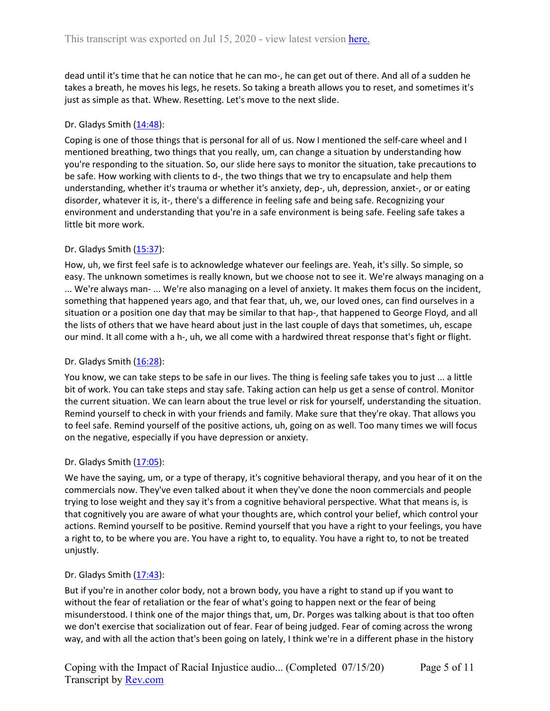dead until it's time that he can notice that he can mo-, he can get out of there. And all of a sudden he takes a breath, he moves his legs, he resets. So taking a breath allows you to reset, and sometimes it's just as simple as that. Whew. Resetting. Let's move to the next slide.

## Dr. Gladys Smith  $(14:48)$  $(14:48)$  $(14:48)$ :

Coping is one of those things that is personal for all of us. Now I mentioned the self-care wheel and I mentioned breathing, two things that you really, um, can change a situation by understanding how you're responding to the situation. So, our slide here says to monitor the situation, take precautions to be safe. How working with clients to d-, the two things that we try to encapsulate and help them understanding, whether it's trauma or whether it's anxiety, dep-, uh, depression, anxiet-, or or eating disorder, whatever it is, it-, there's a difference in feeling safe and being safe. Recognizing your environment and understanding that you're in a safe environment is being safe. Feeling safe takes a little bit more work.

## Dr. Gladys Smith  $(15:37)$  $(15:37)$  $(15:37)$ :

How, uh, we first feel safe is to acknowledge whatever our feelings are. Yeah, it's silly. So simple, so easy. The unknown sometimes is really known, but we choose not to see it. We're always managing on a ... We're always man- ... We're also managing on a level of anxiety. It makes them focus on the incident, something that happened years ago, and that fear that, uh, we, our loved ones, can find ourselves in a situation or a position one day that may be similar to that hap-, that happened to George Floyd, and all the lists of others that we have heard about just in the last couple of days that sometimes, uh, escape our mind. It all come with a h-, uh, we all come with a hardwired threat response that's fight or flight.

### Dr. Gladys Smith  $(16:28)$  $(16:28)$  $(16:28)$ :

You know, we can take steps to be safe in our lives. The thing is feeling safe takes you to just ... a little bit of work. You can take steps and stay safe. Taking action can help us get a sense of control. Monitor the current situation. We can learn about the true level or risk for yourself, understanding the situation. Remind yourself to check in with your friends and family. Make sure that they're okay. That allows you to feel safe. Remind yourself of the positive actions, uh, going on as well. Too many times we will focus on the negative, especially if you have depression or anxiety.

### Dr. Gladys Smith ([17:05](https://www.rev.com/transcript-editor/Edit?token=SXoeHsEUXsGUhQN95JHld4GBw87eaWqBTKrG9XS-5yPrB3z--nllUP6MqYqQK2Kj7HWTXsigOG2hoXin7QTIpABUlac&loadFrom=DocumentDeeplink&ts=1025.44)):

We have the saying, um, or a type of therapy, it's cognitive behavioral therapy, and you hear of it on the commercials now. They've even talked about it when they've done the noon commercials and people trying to lose weight and they say it's from a cognitive behavioral perspective. What that means is, is that cognitively you are aware of what your thoughts are, which control your belief, which control your actions. Remind yourself to be positive. Remind yourself that you have a right to your feelings, you have a right to, to be where you are. You have a right to, to equality. You have a right to, to not be treated unjustly.

### Dr. Gladys Smith ([17:43](https://www.rev.com/transcript-editor/Edit?token=yOGT4iAqVtoVwi7h3ew5Se_PCME6MDeGALgEAOq3VaQdzKZL-jAesWj27tbFlKUZH88KdnEPzTSxqfFMt5HNEFicVo4&loadFrom=DocumentDeeplink&ts=1063.15)):

But if you're in another color body, not a brown body, you have a right to stand up if you want to without the fear of retaliation or the fear of what's going to happen next or the fear of being misunderstood. I think one of the major things that, um, Dr. Porges was talking about is that too often we don't exercise that socialization out of fear. Fear of being judged. Fear of coming across the wrong way, and with all the action that's been going on lately, I think we're in a different phase in the history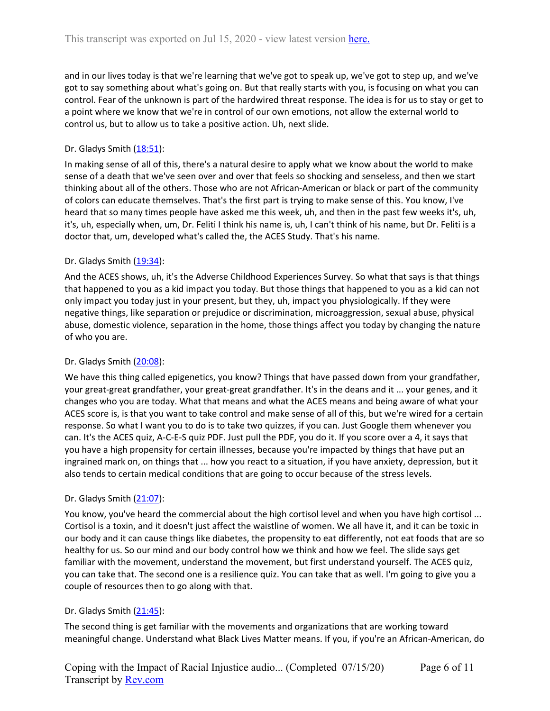and in our lives today is that we're learning that we've got to speak up, we've got to step up, and we've got to say something about what's going on. But that really starts with you, is focusing on what you can control. Fear of the unknown is part of the hardwired threat response. The idea is for us to stay or get to a point where we know that we're in control of our own emotions, not allow the external world to control us, but to allow us to take a positive action. Uh, next slide.

# Dr. Gladys Smith ([18:51](https://www.rev.com/transcript-editor/Edit?token=JKYTmjfn1E2P14IIcNhA45U2oZIUEqAkpO8-hyaRnMaYW4JOlOL_JWAinSqPFkZQpEqeKZEBX-ctf_IEQYp6xU9s3oE&loadFrom=DocumentDeeplink&ts=1131.58)):

In making sense of all of this, there's a natural desire to apply what we know about the world to make sense of a death that we've seen over and over that feels so shocking and senseless, and then we start thinking about all of the others. Those who are not African-American or black or part of the community of colors can educate themselves. That's the first part is trying to make sense of this. You know, I've heard that so many times people have asked me this week, uh, and then in the past few weeks it's, uh, it's, uh, especially when, um, Dr. Feliti I think his name is, uh, I can't think of his name, but Dr. Feliti is a doctor that, um, developed what's called the, the ACES Study. That's his name.

# Dr. Gladys Smith  $(19:34)$  $(19:34)$  $(19:34)$ :

And the ACES shows, uh, it's the Adverse Childhood Experiences Survey. So what that says is that things that happened to you as a kid impact you today. But those things that happened to you as a kid can not only impact you today just in your present, but they, uh, impact you physiologically. If they were negative things, like separation or prejudice or discrimination, microaggression, sexual abuse, physical abuse, domestic violence, separation in the home, those things affect you today by changing the nature of who you are.

# Dr. Gladys Smith ([20:08](https://www.rev.com/transcript-editor/Edit?token=oI-p1whpsRkvcjSydqYDFMQQ6LxuXYLENKCvMvS4NFiMWzsFP1Ju44R-YeB4qTFZr4E1YpjOPYIC6sz7nDqlJTfx8Jk&loadFrom=DocumentDeeplink&ts=1208.3)):

We have this thing called epigenetics, you know? Things that have passed down from your grandfather, your great-great grandfather, your great-great grandfather. It's in the deans and it ... your genes, and it changes who you are today. What that means and what the ACES means and being aware of what your ACES score is, is that you want to take control and make sense of all of this, but we're wired for a certain response. So what I want you to do is to take two quizzes, if you can. Just Google them whenever you can. It's the ACES quiz, A-C-E-S quiz PDF. Just pull the PDF, you do it. If you score over a 4, it says that you have a high propensity for certain illnesses, because you're impacted by things that have put an ingrained mark on, on things that ... how you react to a situation, if you have anxiety, depression, but it also tends to certain medical conditions that are going to occur because of the stress levels.

# Dr. Gladys Smith ([21:07](https://www.rev.com/transcript-editor/Edit?token=y_lqheLLY0SHqxOT_EoMd_x-efyfBGxzkOxIA69XGdCWBx8L43J_l914g6Lz28quna0FJ0TyQvwaE6ApsjGdhvrKMcQ&loadFrom=DocumentDeeplink&ts=1267.33)):

You know, you've heard the commercial about the high cortisol level and when you have high cortisol ... Cortisol is a toxin, and it doesn't just affect the waistline of women. We all have it, and it can be toxic in our body and it can cause things like diabetes, the propensity to eat differently, not eat foods that are so healthy for us. So our mind and our body control how we think and how we feel. The slide says get familiar with the movement, understand the movement, but first understand yourself. The ACES quiz, you can take that. The second one is a resilience quiz. You can take that as well. I'm going to give you a couple of resources then to go along with that.

# Dr. Gladys Smith ([21:45](https://www.rev.com/transcript-editor/Edit?token=jtYSzxNTRTBHJymFBwIyHvdP-g4T5plaIBDC_MfHcsv6Bqx0zYqtONxwoANOgVrv7qLuf8oBBciphxtxunmauLMtqE0&loadFrom=DocumentDeeplink&ts=1305.45)):

The second thing is get familiar with the movements and organizations that are working toward meaningful change. Understand what Black Lives Matter means. If you, if you're an African-American, do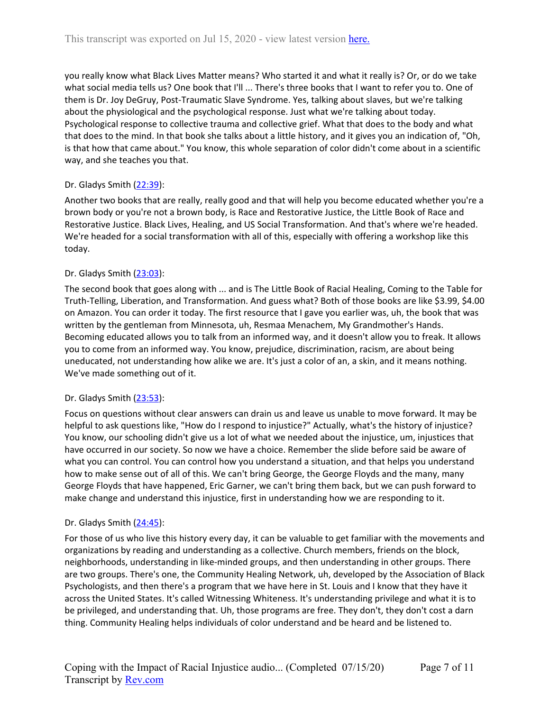you really know what Black Lives Matter means? Who started it and what it really is? Or, or do we take what social media tells us? One book that I'll ... There's three books that I want to refer you to. One of them is Dr. Joy DeGruy, Post-Traumatic Slave Syndrome. Yes, talking about slaves, but we're talking about the physiological and the psychological response. Just what we're talking about today. Psychological response to collective trauma and collective grief. What that does to the body and what that does to the mind. In that book she talks about a little history, and it gives you an indication of, "Oh, is that how that came about." You know, this whole separation of color didn't come about in a scientific way, and she teaches you that.

# Dr. Gladys Smith ([22:39](https://www.rev.com/transcript-editor/Edit?token=gFOi9iMcJXB_TDdmNGFHdPwmBqtrg7nDdCJRLbBYTWOX9Sd-Ih2oJV75JM4Vw32-0KCh7Tsa50XsDEZOvtqObNMpUAU&loadFrom=DocumentDeeplink&ts=1359.26)):

Another two books that are really, really good and that will help you become educated whether you're a brown body or you're not a brown body, is Race and Restorative Justice, the Little Book of Race and Restorative Justice. Black Lives, Healing, and US Social Transformation. And that's where we're headed. We're headed for a social transformation with all of this, especially with offering a workshop like this today.

# Dr. Gladys Smith ([23:03](https://www.rev.com/transcript-editor/Edit?token=wNx4JtQ0eLkzzgebjTfX_xFnUdPoh9xKXW0hecoK5lhnwpV8isgpIseLssuNIE6IibRM0ESsj820ADQ7iqG0-HAdY3U&loadFrom=DocumentDeeplink&ts=1383.17)):

The second book that goes along with ... and is The Little Book of Racial Healing, Coming to the Table for Truth-Telling, Liberation, and Transformation. And guess what? Both of those books are like \$3.99, \$4.00 on Amazon. You can order it today. The first resource that I gave you earlier was, uh, the book that was written by the gentleman from Minnesota, uh, Resmaa Menachem, My Grandmother's Hands. Becoming educated allows you to talk from an informed way, and it doesn't allow you to freak. It allows you to come from an informed way. You know, prejudice, discrimination, racism, are about being uneducated, not understanding how alike we are. It's just a color of an, a skin, and it means nothing. We've made something out of it.

# Dr. Gladys Smith ([23:53](https://www.rev.com/transcript-editor/Edit?token=eFPNvM_bYXrKDo5Q_skdfK34loFpCQdO1jSBR4zdw0vhra6isE3wNcc1-l-oU65WcZ9aP7gJ8zg6ylItuHQFYCkzbko&loadFrom=DocumentDeeplink&ts=1433.13)):

Focus on questions without clear answers can drain us and leave us unable to move forward. It may be helpful to ask questions like, "How do I respond to injustice?" Actually, what's the history of injustice? You know, our schooling didn't give us a lot of what we needed about the injustice, um, injustices that have occurred in our society. So now we have a choice. Remember the slide before said be aware of what you can control. You can control how you understand a situation, and that helps you understand how to make sense out of all of this. We can't bring George, the George Floyds and the many, many George Floyds that have happened, Eric Garner, we can't bring them back, but we can push forward to make change and understand this injustice, first in understanding how we are responding to it.

# Dr. Gladys Smith ([24:45](https://www.rev.com/transcript-editor/Edit?token=BWN0neIbJ4xO_1aBDNBrQszM6r0QB_8koAi5RNPbsXITcwgsSjB6QgO_SZ-ofvkfjjymyjHR3jvdJRNZuwZ2g2vuxuA&loadFrom=DocumentDeeplink&ts=1485.7)):

For those of us who live this history every day, it can be valuable to get familiar with the movements and organizations by reading and understanding as a collective. Church members, friends on the block, neighborhoods, understanding in like-minded groups, and then understanding in other groups. There are two groups. There's one, the Community Healing Network, uh, developed by the Association of Black Psychologists, and then there's a program that we have here in St. Louis and I know that they have it across the United States. It's called Witnessing Whiteness. It's understanding privilege and what it is to be privileged, and understanding that. Uh, those programs are free. They don't, they don't cost a darn thing. Community Healing helps individuals of color understand and be heard and be listened to.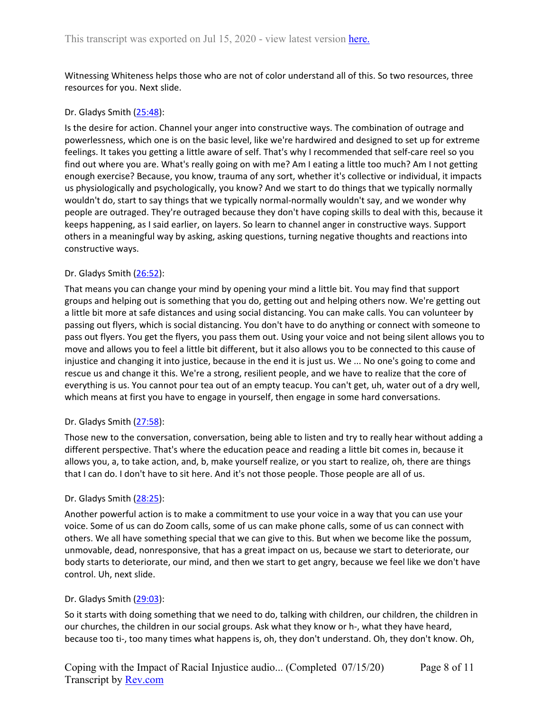Witnessing Whiteness helps those who are not of color understand all of this. So two resources, three resources for you. Next slide.

### Dr. Gladys Smith ([25:48](https://www.rev.com/transcript-editor/Edit?token=QTyEnd4nSXTPO8_Y609FMRhAiJ8GQ5P8TQMvcCFoZjAs9yR5nBtlEgcvRAIctiHFc63tM0JoHvKUvH9kFw3Z-Dq0j0A&loadFrom=DocumentDeeplink&ts=1548.87)):

Is the desire for action. Channel your anger into constructive ways. The combination of outrage and powerlessness, which one is on the basic level, like we're hardwired and designed to set up for extreme feelings. It takes you getting a little aware of self. That's why I recommended that self-care reel so you find out where you are. What's really going on with me? Am I eating a little too much? Am I not getting enough exercise? Because, you know, trauma of any sort, whether it's collective or individual, it impacts us physiologically and psychologically, you know? And we start to do things that we typically normally wouldn't do, start to say things that we typically normal-normally wouldn't say, and we wonder why people are outraged. They're outraged because they don't have coping skills to deal with this, because it keeps happening, as I said earlier, on layers. So learn to channel anger in constructive ways. Support others in a meaningful way by asking, asking questions, turning negative thoughts and reactions into constructive ways.

## Dr. Gladys Smith ([26:52](https://www.rev.com/transcript-editor/Edit?token=mixL_f6QLmZ69cGtGfF30akXGGbrBDwjXxUnNC35QjYLCHpnvOWbn_Bs2u5O2j6m5Gd2-pJ-qRXoOMq-uqFM5_dopx0&loadFrom=DocumentDeeplink&ts=1612.97)):

That means you can change your mind by opening your mind a little bit. You may find that support groups and helping out is something that you do, getting out and helping others now. We're getting out a little bit more at safe distances and using social distancing. You can make calls. You can volunteer by passing out flyers, which is social distancing. You don't have to do anything or connect with someone to pass out flyers. You get the flyers, you pass them out. Using your voice and not being silent allows you to move and allows you to feel a little bit different, but it also allows you to be connected to this cause of injustice and changing it into justice, because in the end it is just us. We ... No one's going to come and rescue us and change it this. We're a strong, resilient people, and we have to realize that the core of everything is us. You cannot pour tea out of an empty teacup. You can't get, uh, water out of a dry well, which means at first you have to engage in yourself, then engage in some hard conversations.

### Dr. Gladys Smith ([27:58](https://www.rev.com/transcript-editor/Edit?token=O9hgB3A3JD4doeyB3NGtKjwUffknQF22EVCPivRLvekjBokdop6wiRMoMSq_Wuy6s67cs_72oBQ7EE3be-T2aLBXUDE&loadFrom=DocumentDeeplink&ts=1678.52)):

Those new to the conversation, conversation, being able to listen and try to really hear without adding a different perspective. That's where the education peace and reading a little bit comes in, because it allows you, a, to take action, and, b, make yourself realize, or you start to realize, oh, there are things that I can do. I don't have to sit here. And it's not those people. Those people are all of us.

### Dr. Gladys Smith ([28:25](https://www.rev.com/transcript-editor/Edit?token=z7WknARucYFtI67bTxd4i3vQu0glGA8aXN-tB0K11UcFIcfBpA6s43ogxAoPEZnvVRQG27pXelKVIKJ_1PbUmQgemLI&loadFrom=DocumentDeeplink&ts=1705.86)):

Another powerful action is to make a commitment to use your voice in a way that you can use your voice. Some of us can do Zoom calls, some of us can make phone calls, some of us can connect with others. We all have something special that we can give to this. But when we become like the possum, unmovable, dead, nonresponsive, that has a great impact on us, because we start to deteriorate, our body starts to deteriorate, our mind, and then we start to get angry, because we feel like we don't have control. Uh, next slide.

### Dr. Gladys Smith ([29:03](https://www.rev.com/transcript-editor/Edit?token=YeXTwTCvq27oqfbplg2tFvLsF-FpGV0tZLXJviIFU_4UyghcNy24IE29ae69RE_GelgmZxfFL59CZ4cybbLzP8h4j2U&loadFrom=DocumentDeeplink&ts=1743)):

So it starts with doing something that we need to do, talking with children, our children, the children in our churches, the children in our social groups. Ask what they know or h-, what they have heard, because too ti-, too many times what happens is, oh, they don't understand. Oh, they don't know. Oh,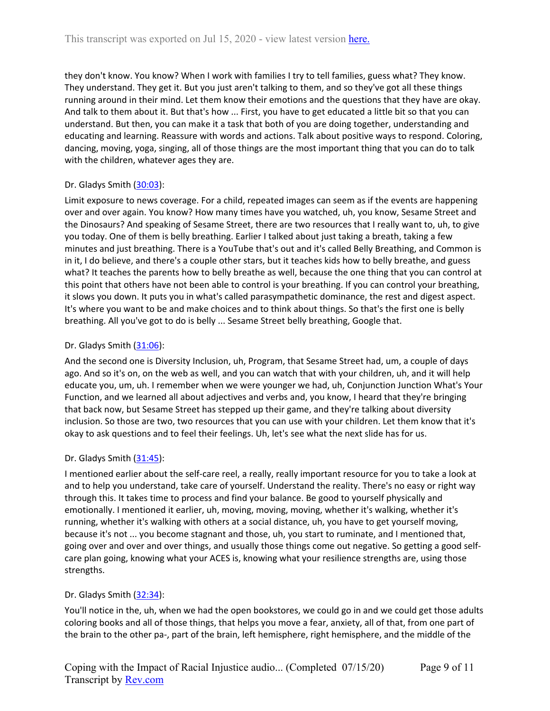they don't know. You know? When I work with families I try to tell families, guess what? They know. They understand. They get it. But you just aren't talking to them, and so they've got all these things running around in their mind. Let them know their emotions and the questions that they have are okay. And talk to them about it. But that's how ... First, you have to get educated a little bit so that you can understand. But then, you can make it a task that both of you are doing together, understanding and educating and learning. Reassure with words and actions. Talk about positive ways to respond. Coloring, dancing, moving, yoga, singing, all of those things are the most important thing that you can do to talk with the children, whatever ages they are.

# Dr. Gladys Smith ([30:03](https://www.rev.com/transcript-editor/Edit?token=S5M6HYtd2ykN8kuCzbVfEoVZoZQhOqvDSW7a8FEqIVpTRToGHAxVXz0wgqLn5iS-WdX64_ODF4DIH54HGUmEYR-85vk&loadFrom=DocumentDeeplink&ts=1803.73)):

Limit exposure to news coverage. For a child, repeated images can seem as if the events are happening over and over again. You know? How many times have you watched, uh, you know, Sesame Street and the Dinosaurs? And speaking of Sesame Street, there are two resources that I really want to, uh, to give you today. One of them is belly breathing. Earlier I talked about just taking a breath, taking a few minutes and just breathing. There is a YouTube that's out and it's called Belly Breathing, and Common is in it, I do believe, and there's a couple other stars, but it teaches kids how to belly breathe, and guess what? It teaches the parents how to belly breathe as well, because the one thing that you can control at this point that others have not been able to control is your breathing. If you can control your breathing, it slows you down. It puts you in what's called parasympathetic dominance, the rest and digest aspect. It's where you want to be and make choices and to think about things. So that's the first one is belly breathing. All you've got to do is belly ... Sesame Street belly breathing, Google that.

# Dr. Gladys Smith  $(31:06)$  $(31:06)$  $(31:06)$ :

And the second one is Diversity Inclusion, uh, Program, that Sesame Street had, um, a couple of days ago. And so it's on, on the web as well, and you can watch that with your children, uh, and it will help educate you, um, uh. I remember when we were younger we had, uh, Conjunction Junction What's Your Function, and we learned all about adjectives and verbs and, you know, I heard that they're bringing that back now, but Sesame Street has stepped up their game, and they're talking about diversity inclusion. So those are two, two resources that you can use with your children. Let them know that it's okay to ask questions and to feel their feelings. Uh, let's see what the next slide has for us.

# Dr. Gladys Smith ([31:45](https://www.rev.com/transcript-editor/Edit?token=lcQPCClDhezKPAQlxnNhAlUuJVXt07pjG3bzvkUxc32o5zXRNP75JYv1B3tMvJ8Le3SX3mTRmVvFMWwjLOHTvt7v8R8&loadFrom=DocumentDeeplink&ts=1905.38)):

I mentioned earlier about the self-care reel, a really, really important resource for you to take a look at and to help you understand, take care of yourself. Understand the reality. There's no easy or right way through this. It takes time to process and find your balance. Be good to yourself physically and emotionally. I mentioned it earlier, uh, moving, moving, moving, whether it's walking, whether it's running, whether it's walking with others at a social distance, uh, you have to get yourself moving, because it's not ... you become stagnant and those, uh, you start to ruminate, and I mentioned that, going over and over and over things, and usually those things come out negative. So getting a good selfcare plan going, knowing what your ACES is, knowing what your resilience strengths are, using those strengths.

# Dr. Gladys Smith ([32:34](https://www.rev.com/transcript-editor/Edit?token=gNds4uL_dEfu4uiYtM0gFCDPfOIWtvVLWigdY1Vn1tQ8zhiiWYPf_dW8_3idfpfR3kQ32hPR9RTpbIr6CqdOJ2ciYzg&loadFrom=DocumentDeeplink&ts=1954.66)):

You'll notice in the, uh, when we had the open bookstores, we could go in and we could get those adults coloring books and all of those things, that helps you move a fear, anxiety, all of that, from one part of the brain to the other pa-, part of the brain, left hemisphere, right hemisphere, and the middle of the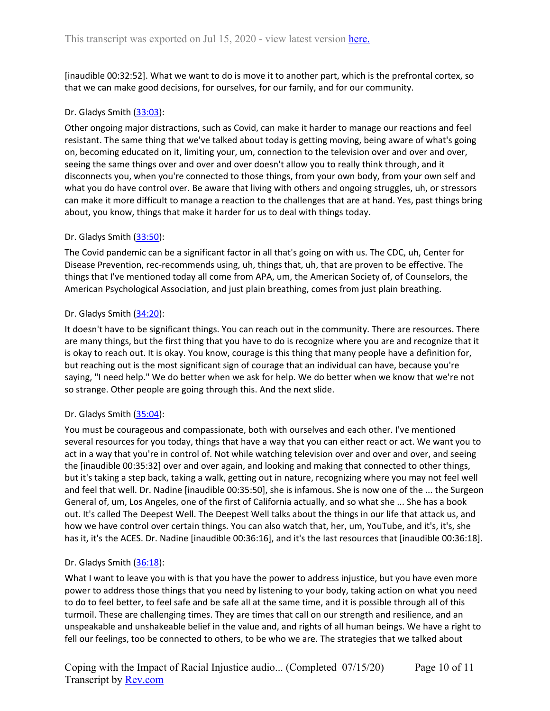[inaudible 00:32:52]. What we want to do is move it to another part, which is the prefrontal cortex, so that we can make good decisions, for ourselves, for our family, and for our community.

## Dr. Gladys Smith ([33:03](https://www.rev.com/transcript-editor/Edit?token=RFVm5f35tb3ySTa2FJPZXRjuu57PXo9Syg2Z1cL7afR2BFF_5XZzpPbH72uLwuIea2OPJjySviBiBIHtgzasCnqP18M&loadFrom=DocumentDeeplink&ts=1983.82)):

Other ongoing major distractions, such as Covid, can make it harder to manage our reactions and feel resistant. The same thing that we've talked about today is getting moving, being aware of what's going on, becoming educated on it, limiting your, um, connection to the television over and over and over, seeing the same things over and over and over doesn't allow you to really think through, and it disconnects you, when you're connected to those things, from your own body, from your own self and what you do have control over. Be aware that living with others and ongoing struggles, uh, or stressors can make it more difficult to manage a reaction to the challenges that are at hand. Yes, past things bring about, you know, things that make it harder for us to deal with things today.

## Dr. Gladys Smith ([33:50](https://www.rev.com/transcript-editor/Edit?token=3qdiVIss2gSdTz1_oEf0zyh36mjQ4Vfb8XxgcfWdiSb-wVpjqaNdH_YmuTR3r5ylWHooud0KT_YAkZbm28nDGAZqbbk&loadFrom=DocumentDeeplink&ts=2030.94)):

The Covid pandemic can be a significant factor in all that's going on with us. The CDC, uh, Center for Disease Prevention, rec-recommends using, uh, things that, uh, that are proven to be effective. The things that I've mentioned today all come from APA, um, the American Society of, of Counselors, the American Psychological Association, and just plain breathing, comes from just plain breathing.

## Dr. Gladys Smith ([34:20](https://www.rev.com/transcript-editor/Edit?token=fYL9G1F5WgSE1Cy5P_IvvHyOj5u7FapNNCXuitJxBTYp8Oqwatxtgw5jni6jztB-o_jmKtFnF1gj5TrRG4gRvx4WBnM&loadFrom=DocumentDeeplink&ts=2060.74)):

It doesn't have to be significant things. You can reach out in the community. There are resources. There are many things, but the first thing that you have to do is recognize where you are and recognize that it is okay to reach out. It is okay. You know, courage is this thing that many people have a definition for, but reaching out is the most significant sign of courage that an individual can have, because you're saying, "I need help." We do better when we ask for help. We do better when we know that we're not so strange. Other people are going through this. And the next slide.

### Dr. Gladys Smith ([35:04](https://www.rev.com/transcript-editor/Edit?token=sFdDKqHW2eyu002dXQPGrUUE5avgKDqPmWhg4W3ZDJ7Woh-Foq74BNC9QIy7z-pw1wLkp7FcnfIVtCD9Y2HXYlJanxQ&loadFrom=DocumentDeeplink&ts=2104.34)):

You must be courageous and compassionate, both with ourselves and each other. I've mentioned several resources for you today, things that have a way that you can either react or act. We want you to act in a way that you're in control of. Not while watching television over and over and over, and seeing the [inaudible 00:35:32] over and over again, and looking and making that connected to other things, but it's taking a step back, taking a walk, getting out in nature, recognizing where you may not feel well and feel that well. Dr. Nadine [inaudible 00:35:50], she is infamous. She is now one of the ... the Surgeon General of, um, Los Angeles, one of the first of California actually, and so what she ... She has a book out. It's called The Deepest Well. The Deepest Well talks about the things in our life that attack us, and how we have control over certain things. You can also watch that, her, um, YouTube, and it's, it's, she has it, it's the ACES. Dr. Nadine [inaudible 00:36:16], and it's the last resources that [inaudible 00:36:18].

# Dr. Gladys Smith ([36:18](https://www.rev.com/transcript-editor/Edit?token=-EnMLMAmyqzZDEkCI8X1cjpS1nR20xqQtMGuZKLh4S8iIpZnBAE7S8PqIXutAc-uY8OzWmJggw2ja1xmq_yFMujxfdk&loadFrom=DocumentDeeplink&ts=2178.11)):

What I want to leave you with is that you have the power to address injustice, but you have even more power to address those things that you need by listening to your body, taking action on what you need to do to feel better, to feel safe and be safe all at the same time, and it is possible through all of this turmoil. These are challenging times. They are times that call on our strength and resilience, and an unspeakable and unshakeable belief in the value and, and rights of all human beings. We have a right to fell our feelings, too be connected to others, to be who we are. The strategies that we talked about